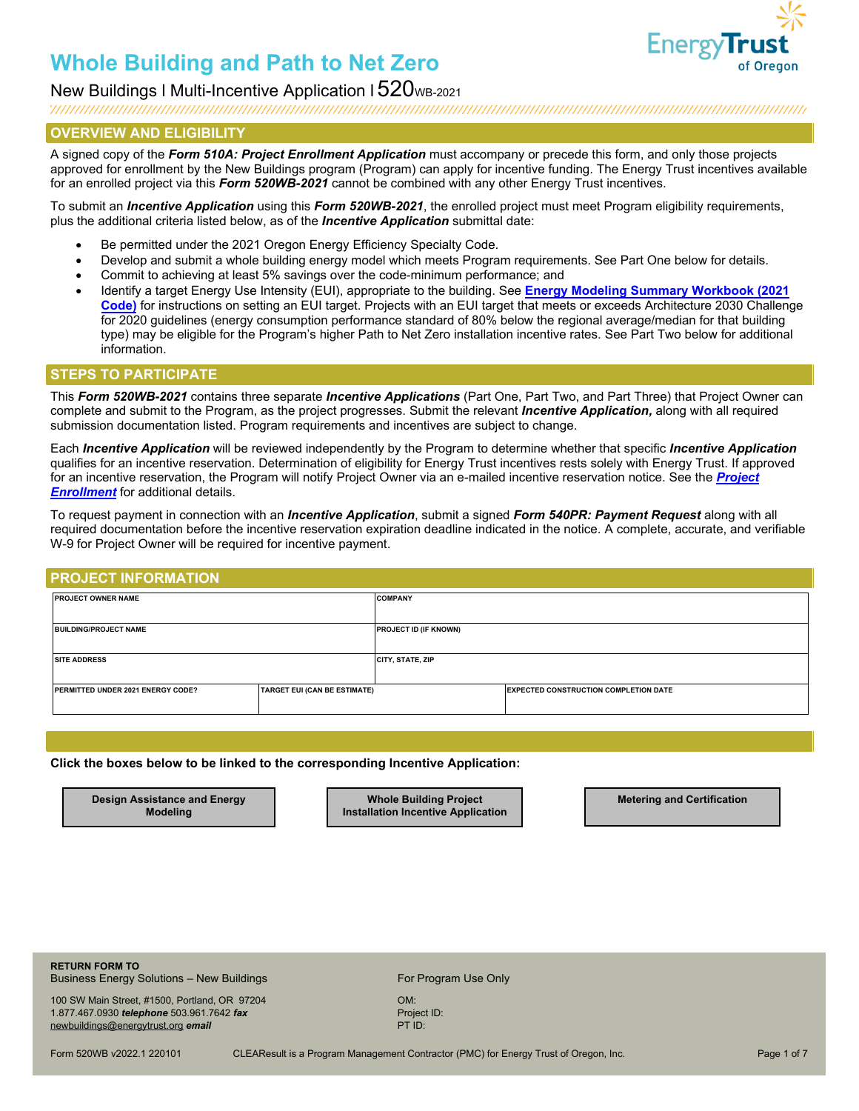

### New Buildings I Multi-Incentive Application I 520<sub>WB-2021</sub>

### **OVERVIEW AND ELIGIBILITY**

A signed copy of the *Form 510A: Project Enrollment Application* must accompany or precede this form, and only those projects approved for enrollment by the New Buildings program (Program) can apply for incentive funding. The Energy Trust incentives available for an enrolled project via this *Form 520WB-2021* cannot be combined with any other Energy Trust incentives.

To submit an *Incentive Application* using this *Form 520WB-2021*, the enrolled project must meet Program eligibility requirements, plus the additional criteria listed below, as of the *Incentive Application* submittal date:

- Be permitted under the 2021 Oregon Energy Efficiency Specialty Code.
- Develop and submit a whole building energy model which meets Program requirements. See Part One below for details.
- Commit to achieving at least 5% savings over the code-minimum performance; and
- Identify a target Energy Use Intensity (EUI), appropriate to the building. See **[Energy Modeling Summary](https://www.energytrust.org/wp-content/uploads/2021/12/Energy-Modeling-Summary-Workbook-2021-Code.xlsx) Workbook (2021 Code)** for instructions on setting an EUI target. Projects with an EUI target that meets or exceeds Architecture 2030 Challenge for 2020 guidelines (energy consumption performance standard of 80% below the regional average/median for that building type) may be eligible for the Program's higher Path to Net Zero installation incentive rates. See Part Two below for additional information.

### **STEPS TO PARTICIPATE**

This *Form 520WB-2021* contains three separate *Incentive Applications* (Part One, Part Two, and Part Three) that Project Owner can complete and submit to the Program, as the project progresses. Submit the relevant *Incentive Application,* along with all required submission documentation listed. Program requirements and incentives are subject to change.

Each *Incentive Application* will be reviewed independently by the Program to determine whether that specific *Incentive Application*  qualifies for an incentive reservation. Determination of eligibility for Energy Trust incentives rests solely with Energy Trust. If approved for an incentive reservation, the Program will notify Project Owner via an e-mailed incentive reservation notice. See the *[Project](https://www.energytrust.org/wp-content/uploads/2016/10/NBE_FM0510A.pdf)  [Enrollment](https://www.energytrust.org/wp-content/uploads/2016/10/NBE_FM0510A.pdf)* for additional details.

To request payment in connection with an *Incentive Application*, submit a signed *Form 540PR: Payment Request* along with all required documentation before the incentive reservation expiration deadline indicated in the notice. A complete, accurate, and verifiable W-9 for Project Owner will be required for incentive payment.

### **PROJECT INFORMATION**

| <b>PROJECT OWNER NAME</b>         |                                     | <b>COMPANY</b>               |                                              |  |
|-----------------------------------|-------------------------------------|------------------------------|----------------------------------------------|--|
| <b>BUILDING/PROJECT NAME</b>      |                                     | <b>PROJECT ID (IF KNOWN)</b> |                                              |  |
| <b>SITE ADDRESS</b>               |                                     | <b>CITY, STATE, ZIP</b>      |                                              |  |
| PERMITTED UNDER 2021 ENERGY CODE? | <b>TARGET EUI (CAN BE ESTIMATE)</b> |                              | <b>EXPECTED CONSTRUCTION COMPLETION DATE</b> |  |

#### **Click the boxes below to be linked to the corresponding Incentive Application:**

**Design Assistance and Energy Modeling** 

**Whole Building Project Installation Incentive Application** **Metering and Certification**

**RETURN FORM TO** Business Energy Solutions – New Buildings For Program Use Only

100 SW Main Street, #1500, Portland, OR 97204 OM: 1.877.467.0930 *telephone* 503.961.7642 *fax* Project ID: Project ID: Project ID: Project ID: PTID: PTID: [newbuildings@energytrust.org](mailto:newbuildings@energytrust.org) email

Form 520WB v2022.1 220101 CLEAResult is a Program Management Contractor (PMC) for Energy Trust of Oregon, Inc. Page 1 of 7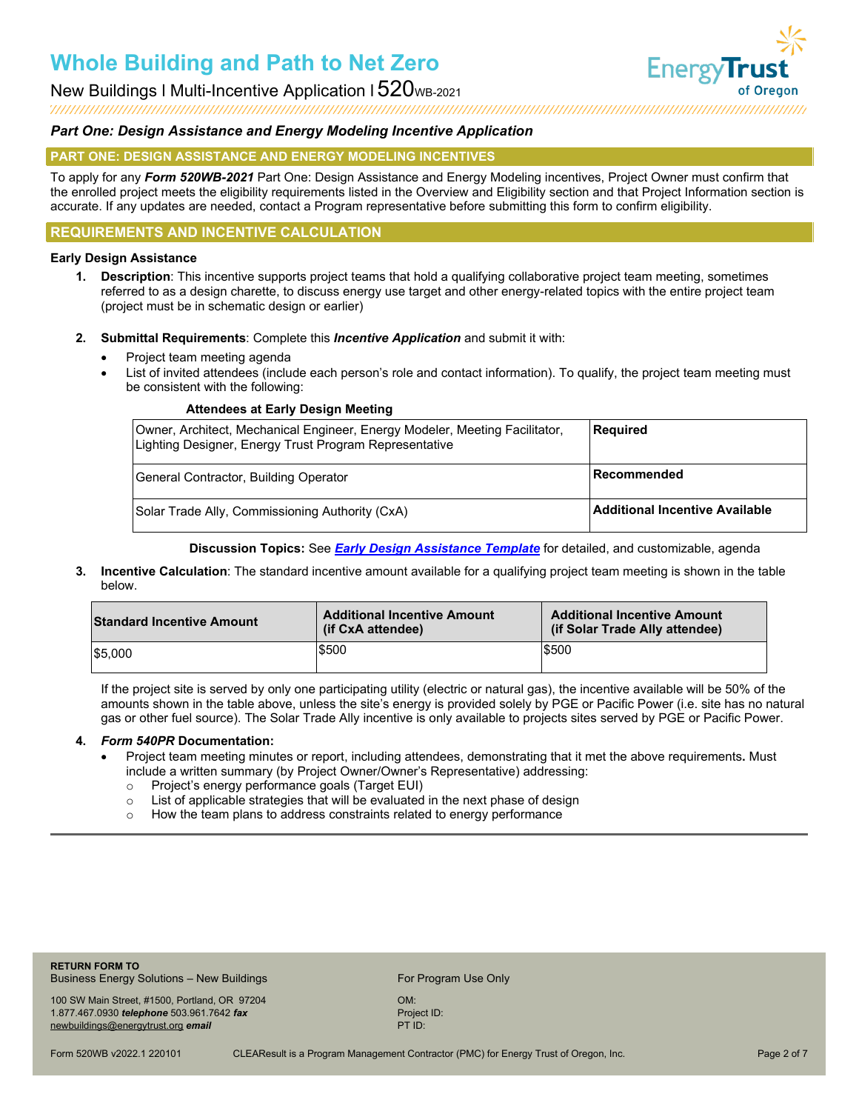New Buildings I Multi-Incentive Application I  $520$ <sub>WB-2021</sub>



### *Part One: Design Assistance and Energy Modeling Incentive Application*

### **PART ONE: DESIGN ASSISTANCE AND ENERGY MODELING INCENTIVES**

To apply for any *Form 520WB-2021* Part One: Design Assistance and Energy Modeling incentives, Project Owner must confirm that the enrolled project meets the eligibility requirements listed in the Overview and Eligibility section and that Project Information section is accurate. If any updates are needed, contact a Program representative before submitting this form to confirm eligibility.

### **REQUIREMENTS AND INCENTIVE CALCULATION**

### **Early Design Assistance**

- **1. Description**: This incentive supports project teams that hold a qualifying collaborative project team meeting, sometimes referred to as a design charette, to discuss energy use target and other energy-related topics with the entire project team (project must be in schematic design or earlier)
- **2. Submittal Requirements**: Complete this *Incentive Application* and submit it with:
	- Project team meeting agenda
	- List of invited attendees (include each person's role and contact information). To qualify, the project team meeting must be consistent with the following:

#### **Attendees at Early Design Meeting**

| Owner, Architect, Mechanical Engineer, Energy Modeler, Meeting Facilitator,<br>Lighting Designer, Energy Trust Program Representative | Required                        |
|---------------------------------------------------------------------------------------------------------------------------------------|---------------------------------|
| General Contractor, Building Operator                                                                                                 | <b>Recommended</b>              |
| Solar Trade Ally, Commissioning Authority (CxA)                                                                                       | ∣Additional Incentive Available |

**Discussion Topics:** See *[Early Design Assistance Template](https://www.energytrust.org/wp-content/uploads/2017/08/nbe_tp_eda_rpt_template.docx)* for detailed, and customizable, agenda

**3. Incentive Calculation**: The standard incentive amount available for a qualifying project team meeting is shown in the table below.

| <b>Standard Incentive Amount</b> | <b>Additional Incentive Amount</b><br>(if CxA attendee) | <b>Additional Incentive Amount</b><br>(if Solar Trade Ally attendee) |
|----------------------------------|---------------------------------------------------------|----------------------------------------------------------------------|
| 55.000                           | \$500                                                   | \$500                                                                |

If the project site is served by only one participating utility (electric or natural gas), the incentive available will be 50% of the amounts shown in the table above, unless the site's energy is provided solely by PGE or Pacific Power (i.e. site has no natural gas or other fuel source). The Solar Trade Ally incentive is only available to projects sites served by PGE or Pacific Power.

### **4.** *Form 540PR* **Documentation:**

- Project team meeting minutes or report, including attendees, demonstrating that it met the above requirements**.** Must include a written summary (by Project Owner/Owner's Representative) addressing:
	- o Project's energy performance goals (Target EUI)
	- $\circ$  List of applicable strategies that will be evaluated in the next phase of design  $\circ$  How the team plans to address constraints related to energy performance
	- How the team plans to address constraints related to energy performance

**RETURN FORM TO** Business Energy Solutions – New Buildings For Program Use Only

100 SW Main Street, #1500, Portland, OR 97204 OM: 1.877.467.0930 *telephone* 503.961.7642 *fax* Project ID: Project ID: Project ID: Project ID: Project ID: PTID: Project ID: PTID: PTID: PTID: PTID: PTID: PTID: PTID: PTID: PTID: PTID: PTID: PTID: PTID: PTID: PTID: PTID: PT [newbuildings@energytrust.org](mailto:newbuildings@energytrust.org) email

Form 520WB v2022.1 220101 CLEAResult is a Program Management Contractor (PMC) for Energy Trust of Oregon, Inc. Page 2 of 7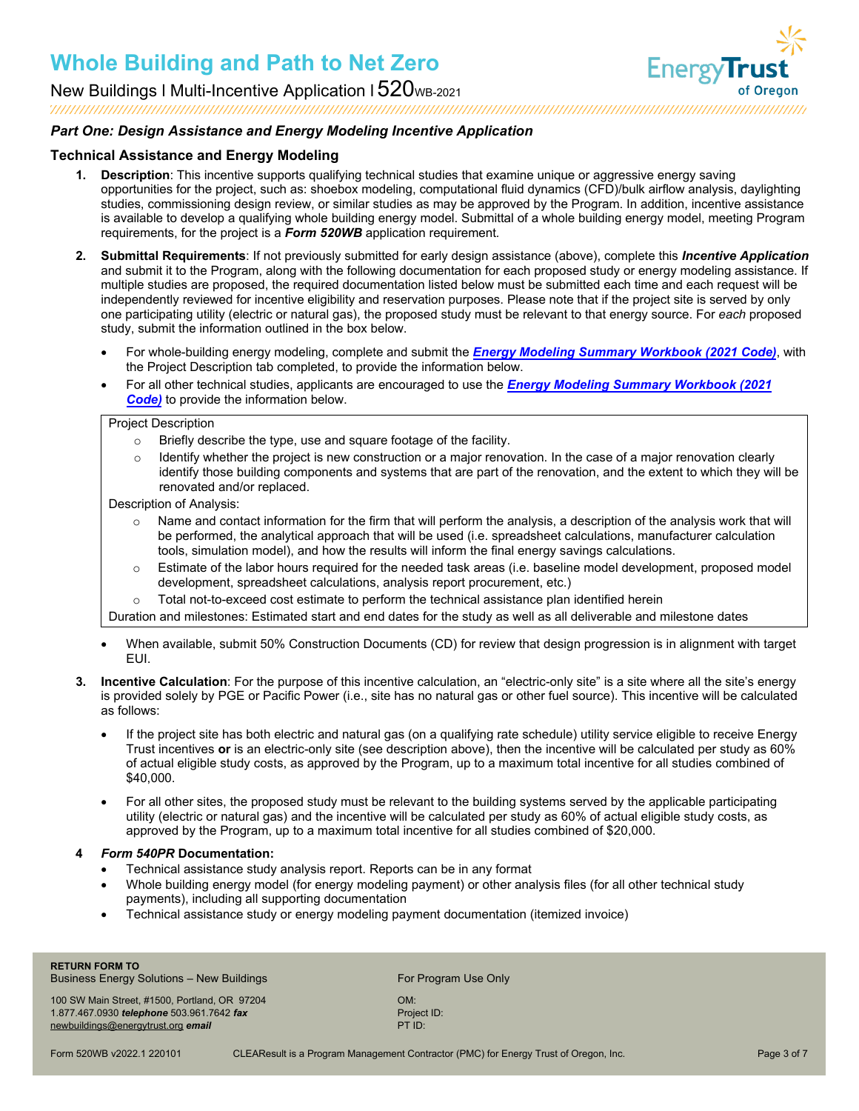



### *Part One: Design Assistance and Energy Modeling Incentive Application*

### **Technical Assistance and Energy Modeling**

- **1. Description**: This incentive supports qualifying technical studies that examine unique or aggressive energy saving opportunities for the project, such as: shoebox modeling, computational fluid dynamics (CFD)/bulk airflow analysis, daylighting studies, commissioning design review, or similar studies as may be approved by the Program. In addition, incentive assistance is available to develop a qualifying whole building energy model. Submittal of a whole building energy model, meeting Program requirements, for the project is a *Form 520WB* application requirement*.*
- **2. Submittal Requirements**: If not previously submitted for early design assistance (above), complete this *Incentive Application* and submit it to the Program, along with the following documentation for each proposed study or energy modeling assistance. If multiple studies are proposed, the required documentation listed below must be submitted each time and each request will be independently reviewed for incentive eligibility and reservation purposes. Please note that if the project site is served by only one participating utility (electric or natural gas), the proposed study must be relevant to that energy source. For *each* proposed study, submit the information outlined in the box below.
	- For whole-building energy modeling, complete and submit the *[Energy Modeling Summary Workbook](https://www.energytrust.org/wp-content/uploads/2021/12/Energy-Modeling-Summary-Workbook-2021-Code.xlsx) (2021 Code)*, with the Project Description tab completed, to provide the information below.
	- [For all other technical studies, applicants are encouraged to use the](https://www.energytrust.org/wp-content/uploads/2021/12/Energy-Modeling-Summary-Workbook-2021-Code.xlsx) *Energy Modeling Summary Workbook (2021 Code)* to provide the information below.

#### Project Description

- o Briefly describe the type, use and square footage of the facility.
- $\circ$  Identify whether the project is new construction or a major renovation. In the case of a major renovation clearly identify those building components and systems that are part of the renovation, and the extent to which they will be renovated and/or replaced.

Description of Analysis:

- $\circ$  Name and contact information for the firm that will perform the analysis, a description of the analysis work that will be performed, the analytical approach that will be used (i.e. spreadsheet calculations, manufacturer calculation tools, simulation model), and how the results will inform the final energy savings calculations.
- o Estimate of the labor hours required for the needed task areas (i.e. baseline model development, proposed model development, spreadsheet calculations, analysis report procurement, etc.)
- $\circ$  Total not-to-exceed cost estimate to perform the technical assistance plan identified herein

Duration and milestones: Estimated start and end dates for the study as well as all deliverable and milestone dates

- When available, submit 50% Construction Documents (CD) for review that design progression is in alignment with target EUI.
- **3. Incentive Calculation**: For the purpose of this incentive calculation, an "electric-only site" is a site where all the site's energy is provided solely by PGE or Pacific Power (i.e., site has no natural gas or other fuel source). This incentive will be calculated as follows:
	- If the project site has both electric and natural gas (on a qualifying rate schedule) utility service eligible to receive Energy Trust incentives **or** is an electric-only site (see description above), then the incentive will be calculated per study as 60% of actual eligible study costs, as approved by the Program, up to a maximum total incentive for all studies combined of \$40,000.
	- For all other sites, the proposed study must be relevant to the building systems served by the applicable participating utility (electric or natural gas) and the incentive will be calculated per study as 60% of actual eligible study costs, as approved by the Program, up to a maximum total incentive for all studies combined of \$20,000.

### **4** *Form 540PR* **Documentation:**

- Technical assistance study analysis report. Reports can be in any format
- Whole building energy model (for energy modeling payment) or other analysis files (for all other technical study payments), including all supporting documentation
- Technical assistance study or energy modeling payment documentation (itemized invoice)

Business Energy Solutions – New Buildings For Program Use Only

100 SW Main Street, #1500, Portland, OR 97204 OM: 1.877.467.0930 *telephone* 503.961.7642 *fax* Project ID: Project ID: Project ID: Project ID: Project ID: PTID: [newbuildings@energytrust.org](mailto:newbuildings@energytrust.org) email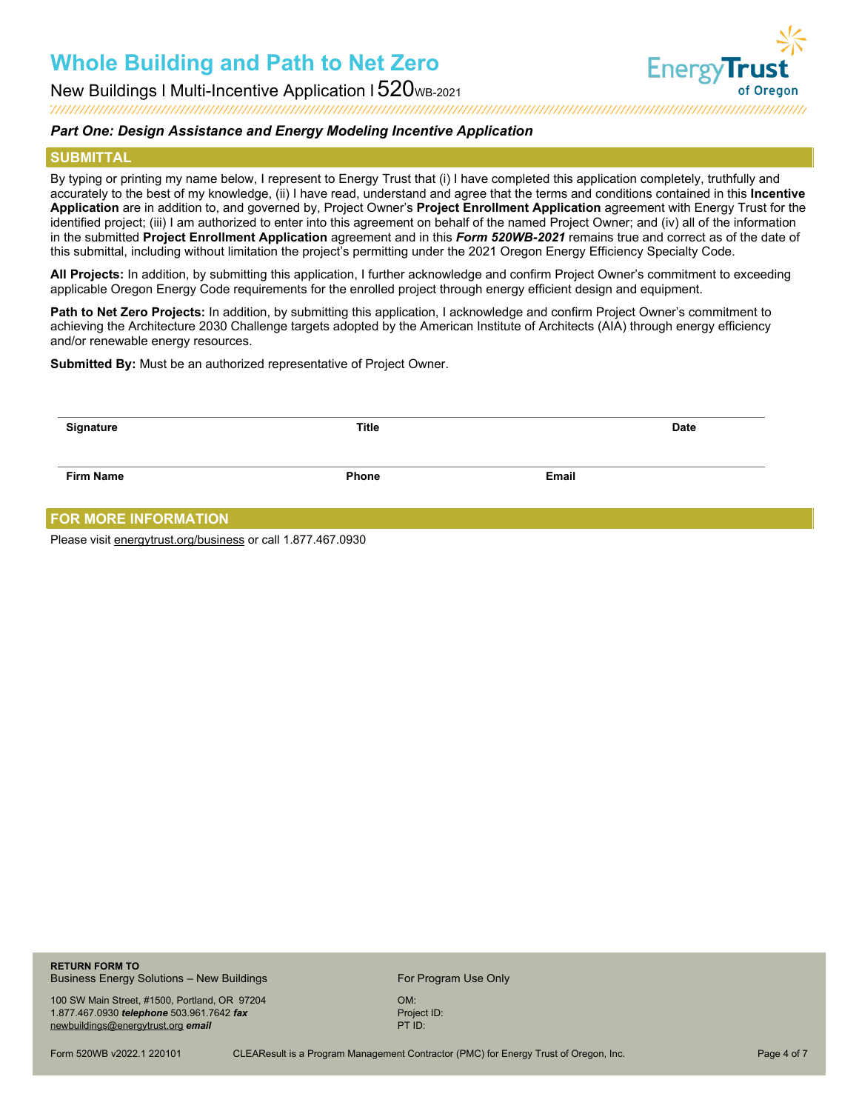

New Buildings I Multi-Incentive Application I 520 ws-2021<br>New Duildings I Multi-Incentive Application I 520 ws-2021<br>New Duildings I Multi-Incentive Application I 520 ws-2021

### *Part One: Design Assistance and Energy Modeling Incentive Application*

#### **SUBMITTAL**

By typing or printing my name below, I represent to Energy Trust that (i) I have completed this application completely, truthfully and accurately to the best of my knowledge, (ii) I have read, understand and agree that the terms and conditions contained in this **Incentive Application** are in addition to, and governed by, Project Owner's **Project Enrollment Application** agreement with Energy Trust for the identified project; (iii) I am authorized to enter into this agreement on behalf of the named Project Owner; and (iv) all of the information in the submitted **Project Enrollment Application** agreement and in this *Form 520WB-2021* remains true and correct as of the date of this submittal, including without limitation the project's permitting under the 2021 Oregon Energy Efficiency Specialty Code.

**All Projects:** In addition, by submitting this application, I further acknowledge and confirm Project Owner's commitment to exceeding applicable Oregon Energy Code requirements for the enrolled project through energy efficient design and equipment.

**Path to Net Zero Projects:** In addition, by submitting this application, I acknowledge and confirm Project Owner's commitment to achieving the Architecture 2030 Challenge targets adopted by the American Institute of Architects (AIA) through energy efficiency and/or renewable energy resources.

**Submitted By:** Must be an authorized representative of Project Owner.

| Signature               | <b>Title</b> |       | <b>Date</b> |
|-------------------------|--------------|-------|-------------|
| <b>Firm Name</b>        | <b>Phone</b> | Email |             |
| --- ------ ------------ |              |       |             |

### **FOR MORE INFORMATION**

Please visi[t energytrust.org/business](http://www.energytrust.org/business) or call 1.877.467.0930

**RETURN FORM TO** Business Energy Solutions – New Buildings For Program Use Only

100 SW Main Street, #1500, Portland, OR 97204 OM: 1.877.467.0930 *telephone* 503.961.7642 *fax* Project ID:<br>
newbuildings@energytrust.org *email* PT ID: [newbuildings@energytrust.org](mailto:newbuildings@energytrust.org) email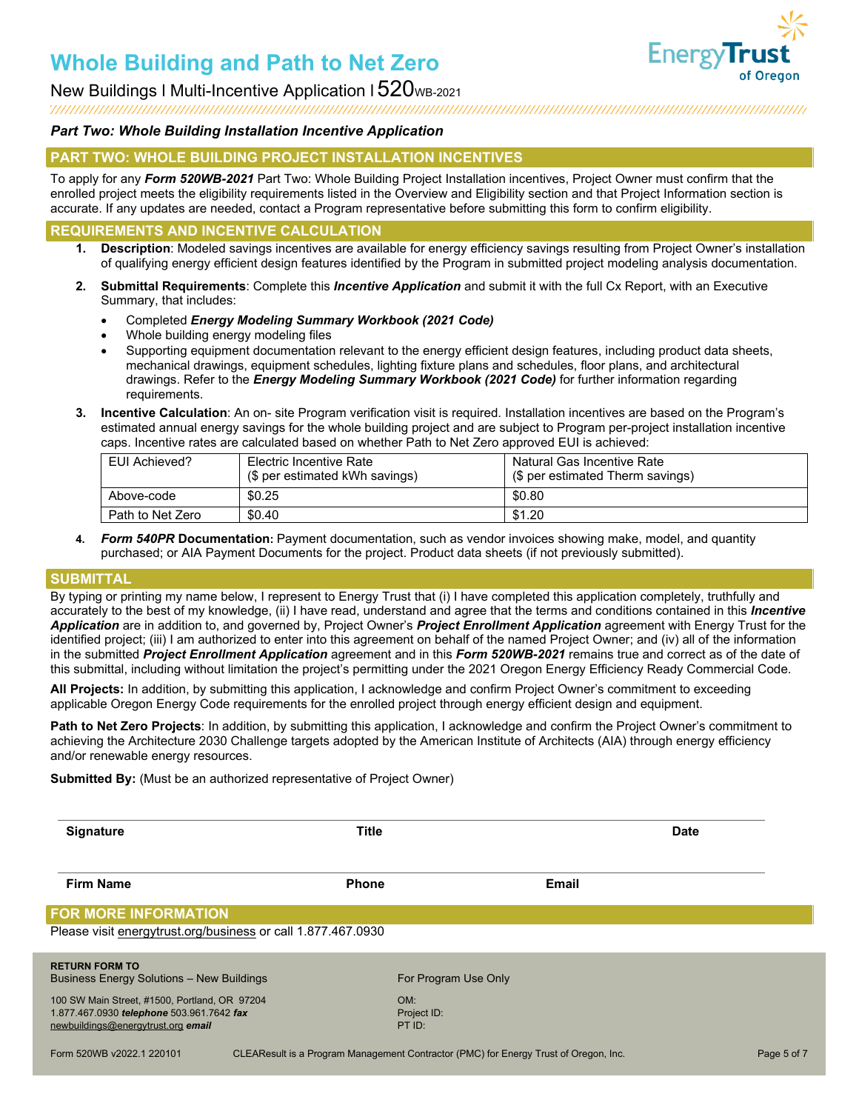

New Buildings I Multi-Incentive Application I  $520$ <sub>WB-2021</sub>

### 

### *Part Two: Whole Building Installation Incentive Application*

### **PART TWO: WHOLE BUILDING PROJECT INSTALLATION INCENTIVES**

To apply for any *Form 520WB-2021* Part Two: Whole Building Project Installation incentives, Project Owner must confirm that the enrolled project meets the eligibility requirements listed in the Overview and Eligibility section and that Project Information section is accurate. If any updates are needed, contact a Program representative before submitting this form to confirm eligibility.

### **REQUIREMENTS AND INCENTIVE CALCULATION**

- **1. Description**: Modeled savings incentives are available for energy efficiency savings resulting from Project Owner's installation of qualifying energy efficient design features identified by the Program in submitted project modeling analysis documentation.
- **2. Submittal Requirements**: Complete this *Incentive Application* and submit it with the full Cx Report, with an Executive Summary, that includes:
	- Completed *Energy Modeling Summary Workbook (2021 Code)*
	- Whole building energy modeling files
	- Supporting equipment documentation relevant to the energy efficient design features, including product data sheets, mechanical drawings, equipment schedules, lighting fixture plans and schedules, floor plans, and architectural drawings. Refer to the *Energy Modeling Summary Workbook (2021 Code)* for further information regarding requirements.
- **3. Incentive Calculation**: An on- site Program verification visit is required. Installation incentives are based on the Program's estimated annual energy savings for the whole building project and are subject to Program per-project installation incentive caps. Incentive rates are calculated based on whether Path to Net Zero approved EUI is achieved:

| EUI Achieved?    | Electric Incentive Rate<br>(\$ per estimated kWh savings) | Natural Gas Incentive Rate<br>(\$ per estimated Therm savings) |
|------------------|-----------------------------------------------------------|----------------------------------------------------------------|
| Above-code       | \$0.25                                                    | \$0.80                                                         |
| Path to Net Zero | \$0.40                                                    | \$1.20                                                         |

**4.** *Form 540PR* **Documentation:** Payment documentation, such as vendor invoices showing make, model, and quantity purchased; or AIA Payment Documents for the project. Product data sheets (if not previously submitted).

### **SUBMITTAL**

By typing or printing my name below, I represent to Energy Trust that (i) I have completed this application completely, truthfully and accurately to the best of my knowledge, (ii) I have read, understand and agree that the terms and conditions contained in this *Incentive Application* are in addition to, and governed by, Project Owner's *Project Enrollment Application* agreement with Energy Trust for the identified project; (iii) I am authorized to enter into this agreement on behalf of the named Project Owner; and (iv) all of the information in the submitted *Project Enrollment Application* agreement and in this *Form 520WB-2021* remains true and correct as of the date of this submittal, including without limitation the project's permitting under the 2021 Oregon Energy Efficiency Ready Commercial Code.

**All Projects:** In addition, by submitting this application, I acknowledge and confirm Project Owner's commitment to exceeding applicable Oregon Energy Code requirements for the enrolled project through energy efficient design and equipment.

**Path to Net Zero Projects**: In addition, by submitting this application, I acknowledge and confirm the Project Owner's commitment to achieving the Architecture 2030 Challenge targets adopted by the American Institute of Architects (AIA) through energy efficiency and/or renewable energy resources.

**Submitted By:** (Must be an authorized representative of Project Owner)

| <b>Signature</b>                                                                            | <b>Title</b>       |                      | <b>Date</b> |
|---------------------------------------------------------------------------------------------|--------------------|----------------------|-------------|
| <b>Firm Name</b>                                                                            | <b>Phone</b>       | Email                |             |
| <b>FOR MORE INFORMATION</b><br>Please visit energytrust.org/business or call 1.877.467.0930 |                    |                      |             |
|                                                                                             |                    |                      |             |
| <b>RETURN FORM TO</b><br><b>Business Energy Solutions - New Buildings</b>                   |                    | For Program Use Only |             |
| 100 SW Main Street, #1500, Portland, OR 97204<br>1.877.467.0930 telephone 503.961.7642 fax  | OM:<br>Project ID: |                      |             |
| newbuildings@energytrust.org email                                                          | PT ID:             |                      |             |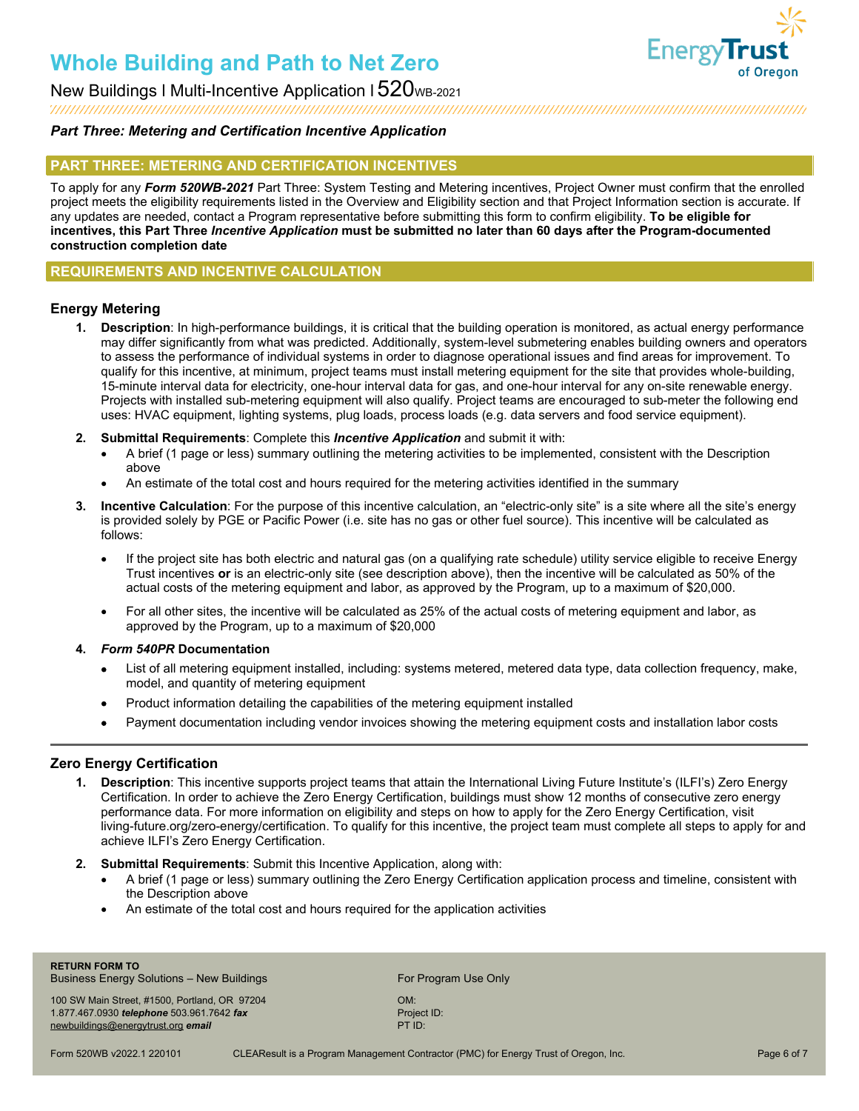

### New Buildings I Multi-Incentive Application I  $520$ <sub>WB-2021</sub>

### *Part Three: Metering and Certification Incentive Application*

### **PART THREE: METERING AND CERTIFICATION INCENTIVES**

To apply for any *Form 520WB-2021* Part Three: System Testing and Metering incentives, Project Owner must confirm that the enrolled project meets the eligibility requirements listed in the Overview and Eligibility section and that Project Information section is accurate. If any updates are needed, contact a Program representative before submitting this form to confirm eligibility. **To be eligible for incentives, this Part Three** *Incentive Application* **must be submitted no later than 60 days after the Program-documented construction completion date**

### **REQUIREMENTS AND INCENTIVE CALCULATION**

### **Energy Metering**

- **1. Description**: In high-performance buildings, it is critical that the building operation is monitored, as actual energy performance may differ significantly from what was predicted. Additionally, system-level submetering enables building owners and operators to assess the performance of individual systems in order to diagnose operational issues and find areas for improvement. To qualify for this incentive, at minimum, project teams must install metering equipment for the site that provides whole-building, 15-minute interval data for electricity, one-hour interval data for gas, and one-hour interval for any on-site renewable energy. Projects with installed sub-metering equipment will also qualify. Project teams are encouraged to sub-meter the following end uses: HVAC equipment, lighting systems, plug loads, process loads (e.g. data servers and food service equipment).
- **2. Submittal Requirements**: Complete this *Incentive Application* and submit it with:
	- A brief (1 page or less) summary outlining the metering activities to be implemented, consistent with the Description above
	- An estimate of the total cost and hours required for the metering activities identified in the summary
- **3. Incentive Calculation**: For the purpose of this incentive calculation, an "electric-only site" is a site where all the site's energy is provided solely by PGE or Pacific Power (i.e. site has no gas or other fuel source). This incentive will be calculated as follows:
	- If the project site has both electric and natural gas (on a qualifying rate schedule) utility service eligible to receive Energy Trust incentives **or** is an electric-only site (see description above), then the incentive will be calculated as 50% of the actual costs of the metering equipment and labor, as approved by the Program, up to a maximum of \$20,000.
	- For all other sites, the incentive will be calculated as 25% of the actual costs of metering equipment and labor, as approved by the Program, up to a maximum of \$20,000

### **4.** *Form 540PR* **Documentation**

- List of all metering equipment installed, including: systems metered, metered data type, data collection frequency, make, model, and quantity of metering equipment
- Product information detailing the capabilities of the metering equipment installed
- Payment documentation including vendor invoices showing the metering equipment costs and installation labor costs

### **Zero Energy Certification**

- **1. Description**: This incentive supports project teams that attain the International Living Future Institute's (ILFI's) Zero Energy Certification. In order to achieve the Zero Energy Certification, buildings must show 12 months of consecutive zero energy performance data. For more information on eligibility and steps on how to apply for the Zero Energy Certification, visit living-future.org/zero-energy/certification. To qualify for this incentive, the project team must complete all steps to apply for and achieve ILFI's Zero Energy Certification.
- **2. Submittal Requirements**: Submit this Incentive Application, along with:
	- A brief (1 page or less) summary outlining the Zero Energy Certification application process and timeline, consistent with the Description above
	- An estimate of the total cost and hours required for the application activities

**RETURN FORM TO** Business Energy Solutions – New Buildings For Program Use Only

100 SW Main Street, #1500, Portland, OR 97204 OM: 1.877.467.0930 *telephone* 503.961.7642 *fax* Project ID: Project ID: Project ID: Project ID: Project ID: PTID: [newbuildings@energytrust.org](mailto:newbuildings@energytrust.org) email